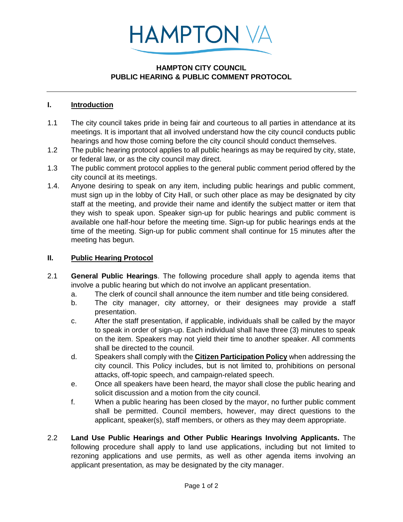

## **HAMPTON CITY COUNCIL PUBLIC HEARING & PUBLIC COMMENT PROTOCOL**

## **I. Introduction**

- 1.1 The city council takes pride in being fair and courteous to all parties in attendance at its meetings. It is important that all involved understand how the city council conducts public hearings and how those coming before the city council should conduct themselves.
- 1.2 The public hearing protocol applies to all public hearings as may be required by city, state, or federal law, or as the city council may direct.
- 1.3 The public comment protocol applies to the general public comment period offered by the city council at its meetings.
- 1.4. Anyone desiring to speak on any item, including public hearings and public comment, must sign up in the lobby of City Hall, or such other place as may be designated by city staff at the meeting, and provide their name and identify the subject matter or item that they wish to speak upon. Speaker sign-up for public hearings and public comment is available one half-hour before the meeting time. Sign-up for public hearings ends at the time of the meeting. Sign-up for public comment shall continue for 15 minutes after the meeting has begun.

#### **II. Public Hearing Protocol**

- 2.1 **General Public Hearings**. The following procedure shall apply to agenda items that involve a public hearing but which do not involve an applicant presentation.
	- a. The clerk of council shall announce the item number and title being considered.
	- b. The city manager, city attorney, or their designees may provide a staff presentation.
	- c. After the staff presentation, if applicable, individuals shall be called by the mayor to speak in order of sign-up. Each individual shall have three (3) minutes to speak on the item. Speakers may not yield their time to another speaker. All comments shall be directed to the council.
	- d. Speakers shall comply with the **Citizen Participation Policy** when addressing the city council. This Policy includes, but is not limited to, prohibitions on personal attacks, off-topic speech, and campaign-related speech.
	- e. Once all speakers have been heard, the mayor shall close the public hearing and solicit discussion and a motion from the city council.
	- f. When a public hearing has been closed by the mayor, no further public comment shall be permitted. Council members, however, may direct questions to the applicant, speaker(s), staff members, or others as they may deem appropriate.
- 2.2 **Land Use Public Hearings and Other Public Hearings Involving Applicants.** The following procedure shall apply to land use applications, including but not limited to rezoning applications and use permits, as well as other agenda items involving an applicant presentation, as may be designated by the city manager.